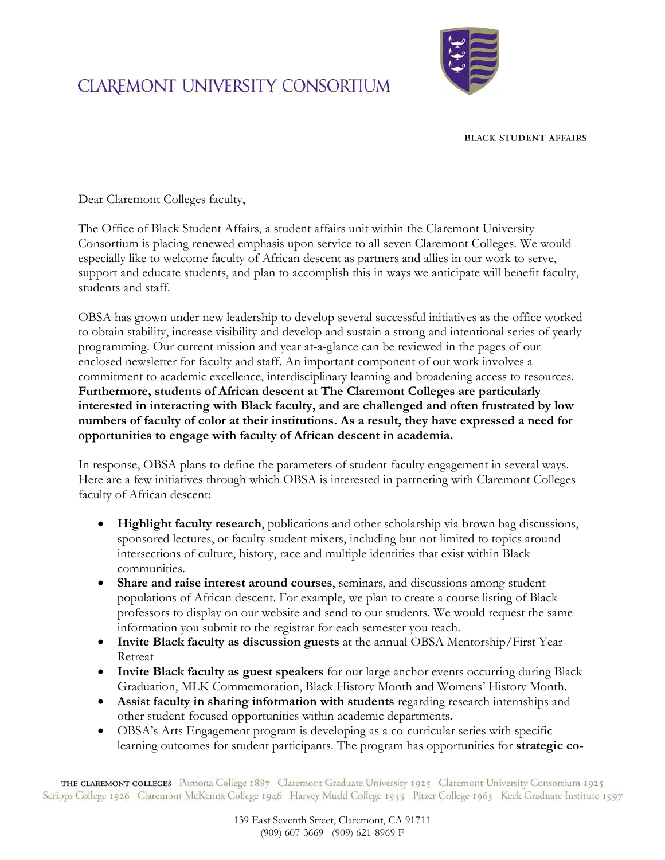## **CLAREMONT UNIVERSITY CONSORTIUM**



**BLACK STUDENT AFFAIRS** 

Dear Claremont Colleges faculty,

The Office of Black Student Affairs, a student affairs unit within the Claremont University Consortium is placing renewed emphasis upon service to all seven Claremont Colleges. We would especially like to welcome faculty of African descent as partners and allies in our work to serve, support and educate students, and plan to accomplish this in ways we anticipate will benefit faculty, students and staff.

OBSA has grown under new leadership to develop several successful initiatives as the office worked to obtain stability, increase visibility and develop and sustain a strong and intentional series of yearly programming. Our current mission and year at-a-glance can be reviewed in the pages of our enclosed newsletter for faculty and staff. An important component of our work involves a commitment to academic excellence, interdisciplinary learning and broadening access to resources. **Furthermore, students of African descent at The Claremont Colleges are particularly interested in interacting with Black faculty, and are challenged and often frustrated by low numbers of faculty of color at their institutions. As a result, they have expressed a need for opportunities to engage with faculty of African descent in academia.**

In response, OBSA plans to define the parameters of student-faculty engagement in several ways. Here are a few initiatives through which OBSA is interested in partnering with Claremont Colleges faculty of African descent:

- **Highlight faculty research**, publications and other scholarship via brown bag discussions, sponsored lectures, or faculty-student mixers, including but not limited to topics around intersections of culture, history, race and multiple identities that exist within Black communities.
- **Share and raise interest around courses**, seminars, and discussions among student populations of African descent. For example, we plan to create a course listing of Black professors to display on our website and send to our students. We would request the same information you submit to the registrar for each semester you teach.
- **Invite Black faculty as discussion guests** at the annual OBSA Mentorship/First Year Retreat
- **Invite Black faculty as guest speakers** for our large anchor events occurring during Black Graduation, MLK Commemoration, Black History Month and Womens' History Month.
- **Assist faculty in sharing information with students** regarding research internships and other student-focused opportunities within academic departments.
- OBSA's Arts Engagement program is developing as a co-curricular series with specific learning outcomes for student participants. The program has opportunities for **strategic co-**

THE CLAREMONT COLLEGES Pomona College 1887 Claremont Graduate University 1925 Claremont University Consortium 1925 Scripps College 1926 Claremont McKenna College 1946 Harvey Mudd College 1955 Pitzer College 1963 Keck Graduate Institute 1997